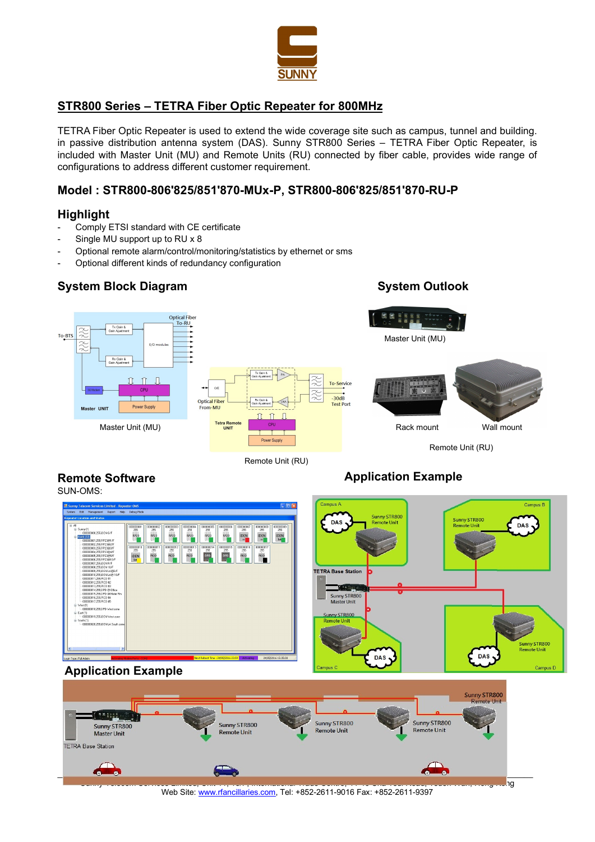

# STR800 Series – TETRA Fiber Optic Repeater for 800MHz

TETRA Fiber Optic Repeater is used to extend the wide coverage site such as campus, tunnel and building. in passive distribution antenna system (DAS). Sunny STR800 Series – TETRA Fiber Optic Repeater, is included with Master Unit (MU) and Remote Units (RU) connected by fiber cable, provides wide range of configurations to address different customer requirement.

## Model : STR800-806'825/851'870-MUx-P, STR800-806'825/851'870-RU-P

## **Highlight**

- Comply ETSI standard with CE certificate
- Single MU support up to RU x 8
- Optional remote alarm/control/monitoring/statistics by ethernet or sms
- Optional different kinds of redundancy configuration

# System Block Diagram System Outlook

Remote Software

**TETRA Base Station** 



Remote Unit (RU)

# Application Example





Web Site: www.rfancillaries.com, Tel: +852-2611-9016 Fax: +852-2611-9397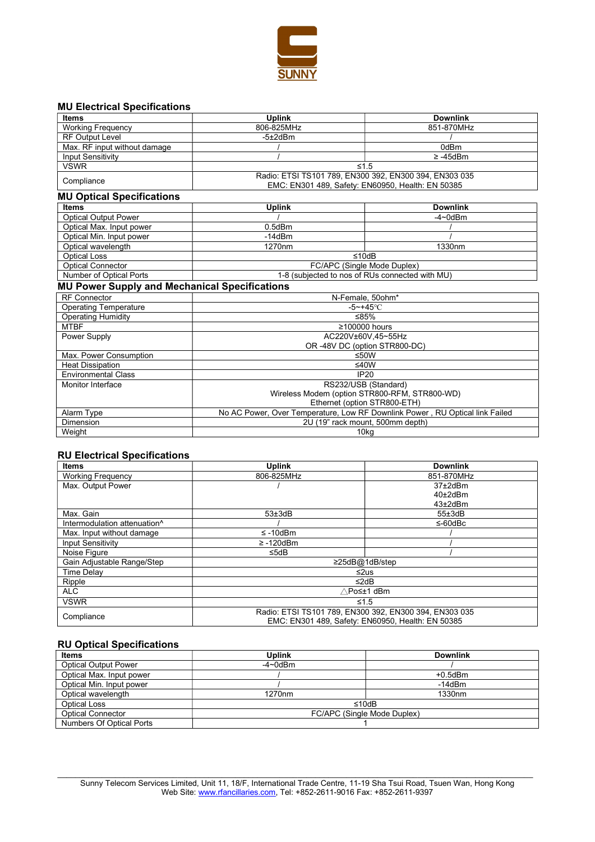

### MU Electrical Specifications

| <b>Items</b>                                         | <b>Uplink</b>                                                                                               | <b>Downlink</b>                                                                                                                                        |
|------------------------------------------------------|-------------------------------------------------------------------------------------------------------------|--------------------------------------------------------------------------------------------------------------------------------------------------------|
| <b>Working Frequency</b>                             | 806-825MHz                                                                                                  | 851-870MHz                                                                                                                                             |
| <b>RF Output Level</b>                               | $-5\pm2$ d $Bm$                                                                                             |                                                                                                                                                        |
| Max. RF input without damage                         |                                                                                                             | 0dBm                                                                                                                                                   |
| Input Sensitivity                                    |                                                                                                             | $\geq -45$ dBm                                                                                                                                         |
| <b>VSWR</b>                                          | $\leq 1.5$                                                                                                  |                                                                                                                                                        |
| Compliance                                           | Radio: ETSI TS101 789, EN300 392, EN300 394, EN303 035<br>EMC: EN301 489, Safety: EN60950, Health: EN 50385 |                                                                                                                                                        |
| <b>MU Optical Specifications</b>                     |                                                                                                             |                                                                                                                                                        |
| <b>Items</b>                                         | <b>Uplink</b>                                                                                               | <b>Downlink</b>                                                                                                                                        |
| Optical Output Power                                 |                                                                                                             | $-4\negmedspace\negmedspace\negmedspace$ -4 $\negmedspace\negmedspace\negmedspace\negmedspace\negmedspace\negmedspace\negthinspace\negthinspace 0$ dBm |
| Optical Max. Input power                             | $0.5$ d $Bm$                                                                                                |                                                                                                                                                        |
| Optical Min. Input power                             | $-14dBm$                                                                                                    |                                                                                                                                                        |
| Optical wavelength                                   | 1270nm                                                                                                      | 1330nm                                                                                                                                                 |
| <b>Optical Loss</b>                                  | ≤10dB                                                                                                       |                                                                                                                                                        |
| <b>Optical Connector</b>                             | FC/APC (Single Mode Duplex)                                                                                 |                                                                                                                                                        |
| Number of Optical Ports                              | 1-8 (subjected to nos of RUs connected with MU)                                                             |                                                                                                                                                        |
| <b>MU Power Supply and Mechanical Specifications</b> |                                                                                                             |                                                                                                                                                        |
| <b>RF Connector</b>                                  | N-Female, 50ohm*                                                                                            |                                                                                                                                                        |
| <b>Operating Temperature</b>                         | $-5 - +45$ °C                                                                                               |                                                                                                                                                        |
| <b>Operating Humidity</b>                            | ≤85%                                                                                                        |                                                                                                                                                        |
| <b>MTBF</b>                                          | ≥100000 hours                                                                                               |                                                                                                                                                        |
| Power Supply                                         | AC220V±60V.45~55Hz                                                                                          |                                                                                                                                                        |
|                                                      |                                                                                                             | OR -48V DC (option STR800-DC)                                                                                                                          |
| Max. Power Consumption                               | ≤50W                                                                                                        |                                                                                                                                                        |
| <b>Heat Dissipation</b>                              | ≤40W                                                                                                        |                                                                                                                                                        |
| <b>Environmental Class</b>                           | IP20                                                                                                        |                                                                                                                                                        |
| <b>Monitor Interface</b>                             | RS232/USB (Standard)                                                                                        |                                                                                                                                                        |
|                                                      |                                                                                                             | Wireless Modem (option STR800-RFM, STR800-WD)                                                                                                          |
|                                                      |                                                                                                             | Ethernet (option STR800-ETH)                                                                                                                           |
| Alarm Type                                           | No AC Power, Over Temperature, Low RF Downlink Power, RU Optical link Failed                                |                                                                                                                                                        |
| <b>Dimension</b>                                     | 2U (19" rack mount, 500mm depth)                                                                            |                                                                                                                                                        |
| Weight                                               | 10kg                                                                                                        |                                                                                                                                                        |

#### RU Electrical Specifications

| Items                        | <b>Uplink</b>                                                                                               | <b>Downlink</b> |
|------------------------------|-------------------------------------------------------------------------------------------------------------|-----------------|
| <b>Working Frequency</b>     | 806-825MHz                                                                                                  | 851-870MHz      |
| Max. Output Power            |                                                                                                             | $37\pm2$ dBm    |
|                              |                                                                                                             | $40\pm2$ dBm    |
|                              |                                                                                                             | $43\pm2$ dBm    |
| Max. Gain                    | $53\pm3$ dB                                                                                                 | 55±3dB          |
| Intermodulation attenuation^ |                                                                                                             | ≤-60dBc         |
| Max. Input without damage    | $\leq$ -10dBm                                                                                               |                 |
| <b>Input Sensitivity</b>     | $\geq$ -120dBm                                                                                              |                 |
| Noise Figure                 | $\leq$ 5dB                                                                                                  |                 |
| Gain Adjustable Range/Step   | $\geq$ 25dB@1dB/step                                                                                        |                 |
| <b>Time Delav</b>            | $\leq$ 2us                                                                                                  |                 |
| Ripple                       | ≤2dB                                                                                                        |                 |
| <b>ALC</b>                   | ∧Po≤±1 dBm                                                                                                  |                 |
| <b>VSWR</b>                  | $\leq 1.5$                                                                                                  |                 |
| Compliance                   | Radio: ETSI TS101 789, EN300 392, EN300 394, EN303 035<br>EMC: EN301 489, Safety: EN60950, Health: EN 50385 |                 |

### RU Optical Specifications

| <b>Items</b>                | <b>Uplink</b>                                                                                                                                          | <b>Downlink</b>    |
|-----------------------------|--------------------------------------------------------------------------------------------------------------------------------------------------------|--------------------|
| <b>Optical Output Power</b> | $-4\negmedspace\negmedspace\negmedspace$ -4 $\negmedspace\negmedspace\negmedspace\negmedspace\negmedspace\negthinspace\negthinspace 0$ d $\mathsf{Bm}$ |                    |
| Optical Max. Input power    |                                                                                                                                                        | $+0.5$ d $Bm$      |
| Optical Min. Input power    |                                                                                                                                                        | $-14$ d $Bm$       |
| Optical wavelength          | 1270 <sub>nm</sub>                                                                                                                                     | 1330 <sub>nm</sub> |
| <b>Optical Loss</b>         |                                                                                                                                                        | ≤10dB              |
| <b>Optical Connector</b>    | FC/APC (Single Mode Duplex)                                                                                                                            |                    |
| Numbers Of Optical Ports    |                                                                                                                                                        |                    |